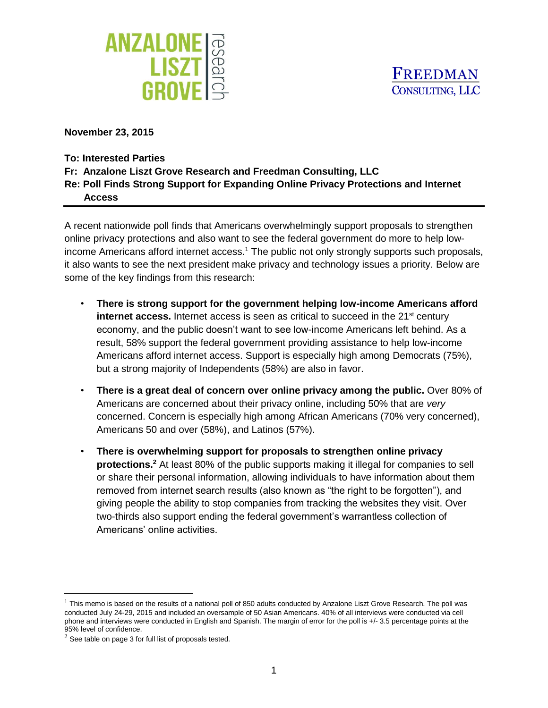



**November 23, 2015**

- **To: Interested Parties**
- **Fr: Anzalone Liszt Grove Research and Freedman Consulting, LLC**
- **Re: Poll Finds Strong Support for Expanding Online Privacy Protections and Internet Access**

A recent nationwide poll finds that Americans overwhelmingly support proposals to strengthen online privacy protections and also want to see the federal government do more to help lowincome Americans afford internet access.<sup>1</sup> The public not only strongly supports such proposals, it also wants to see the next president make privacy and technology issues a priority. Below are some of the key findings from this research:

- **There is strong support for the government helping low-income Americans afford internet access.** Internet access is seen as critical to succeed in the 21<sup>st</sup> century economy, and the public doesn't want to see low-income Americans left behind. As a result, 58% support the federal government providing assistance to help low-income Americans afford internet access. Support is especially high among Democrats (75%), but a strong majority of Independents (58%) are also in favor.
- **There is a great deal of concern over online privacy among the public.** Over 80% of Americans are concerned about their privacy online, including 50% that are *very* concerned. Concern is especially high among African Americans (70% very concerned), Americans 50 and over (58%), and Latinos (57%).
- **There is overwhelming support for proposals to strengthen online privacy protections.<sup>2</sup>** At least 80% of the public supports making it illegal for companies to sell or share their personal information, allowing individuals to have information about them removed from internet search results (also known as "the right to be forgotten"), and giving people the ability to stop companies from tracking the websites they visit. Over two-thirds also support ending the federal government's warrantless collection of Americans' online activities.

l

 $1$  This memo is based on the results of a national poll of 850 adults conducted by Anzalone Liszt Grove Research. The poll was conducted July 24-29, 2015 and included an oversample of 50 Asian Americans. 40% of all interviews were conducted via cell phone and interviews were conducted in English and Spanish. The margin of error for the poll is +/- 3.5 percentage points at the 95% level of confidence.

 $2$  See table on page 3 for full list of proposals tested.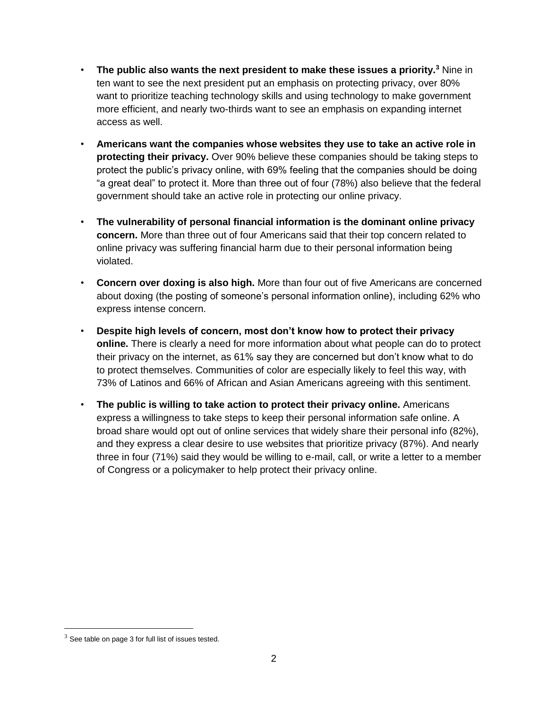- **The public also wants the next president to make these issues a priority.<sup>3</sup>** Nine in ten want to see the next president put an emphasis on protecting privacy, over 80% want to prioritize teaching technology skills and using technology to make government more efficient, and nearly two-thirds want to see an emphasis on expanding internet access as well.
- **Americans want the companies whose websites they use to take an active role in protecting their privacy.** Over 90% believe these companies should be taking steps to protect the public's privacy online, with 69% feeling that the companies should be doing "a great deal" to protect it. More than three out of four (78%) also believe that the federal government should take an active role in protecting our online privacy.
- **The vulnerability of personal financial information is the dominant online privacy concern.** More than three out of four Americans said that their top concern related to online privacy was suffering financial harm due to their personal information being violated.
- **Concern over doxing is also high.** More than four out of five Americans are concerned about doxing (the posting of someone's personal information online), including 62% who express intense concern.
- **Despite high levels of concern, most don't know how to protect their privacy online.** There is clearly a need for more information about what people can do to protect their privacy on the internet, as 61% say they are concerned but don't know what to do to protect themselves. Communities of color are especially likely to feel this way, with 73% of Latinos and 66% of African and Asian Americans agreeing with this sentiment.
- **The public is willing to take action to protect their privacy online.** Americans express a willingness to take steps to keep their personal information safe online. A broad share would opt out of online services that widely share their personal info (82%), and they express a clear desire to use websites that prioritize privacy (87%). And nearly three in four (71%) said they would be willing to e-mail, call, or write a letter to a member of Congress or a policymaker to help protect their privacy online.

 $\overline{\phantom{a}}$ 

 $3$  See table on page 3 for full list of issues tested.